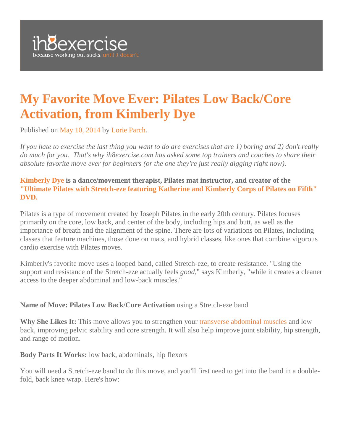

# **[My Favorite Move Ever: Pilates Low Back/Core](http://www.ih8exercise.com/barriers/my-favorite-move-ever-low-backcore-activation)  [Activation, from Kimberly Dye](http://www.ih8exercise.com/barriers/my-favorite-move-ever-low-backcore-activation)**

Published on [May 10, 2014](http://www.ih8exercise.com/barriers/my-favorite-move-ever-low-backcore-activation) by [Lorie Parch.](http://www.ih8exercise.com/barriers/?author=51cf18f9e4b0df98a9bb62d1)

*If you hate to exercise the last thing you want to do are exercises that are 1) boring and 2) don't really do much for you. That's why ih8exercise.com has asked some top trainers and coaches to share their absolute favorite move ever for beginners (or the one they're just really digging right now).*

### **[Kimberly Dye](http://www.dyenamicmovement.com/) is a dance/movement therapist, Pilates mat instructor, and creator of the ["Ultimate Pilates with Stretch-eze featuring Katherine and Kimberly Corps of Pilates on Fifth"](http://www.dyenamicmovement.com/store/product.php?productid=64&cat=6&page=1)  [DVD.](http://www.dyenamicmovement.com/store/product.php?productid=64&cat=6&page=1)**

Pilates is a type of movement created by Joseph Pilates in the early 20th century. Pilates focuses primarily on the core, low back, and center of the body, including hips and butt, as well as the importance of breath and the alignment of the spine. There are lots of variations on Pilates, including classes that feature machines, those done on mats, and hybrid classes, like ones that combine vigorous cardio exercise with Pilates moves.

Kimberly's favorite move uses a looped band, called Stretch-eze, to create resistance. "Using the support and resistance of the Stretch-eze actually feels *good*," says Kimberly, "while it creates a cleaner access to the deeper abdominal and low-back muscles."

#### **Name of Move: Pilates Low Back/Core Activation** using a Stretch-eze band

Why She Likes It: This move allows you to strengthen your [transverse abdominal muscles a](http://www.ih8exercise.com/glossary)nd low back, improving pelvic stability and core strength. It will also help improve joint stability, hip strength, and range of motion.

#### **Body Parts It Works:** low back, abdominals, hip flexors

You will need a Stretch-eze band to do this move, and you'll first need to get into the band in a doublefold, back knee wrap. Here's how: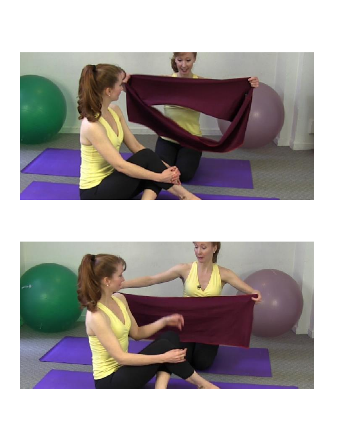

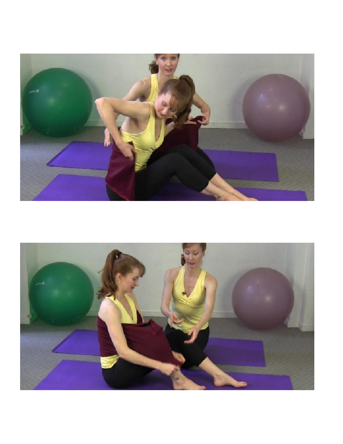

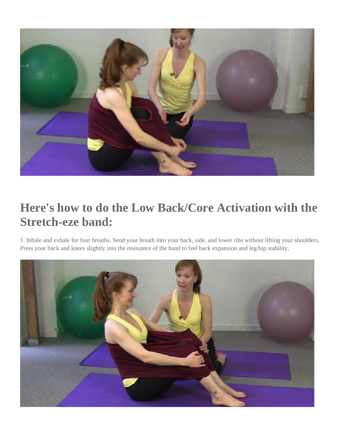

## **Here's how to do the Low Back/Core Activation with the Stretch-eze band:**

1. Inhale and exhale for four breaths. Send your breath into your back, side, and lower ribs without lifting your shoulders. Press your back and knees slightly into the resistance of the band to feel back expansion and leg/hip stability.

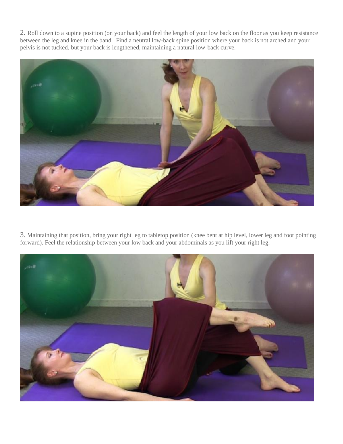2. Roll down to a supine position (on your back) and feel the length of your low back on the floor as you keep resistance between the leg and knee in the band. Find a neutral low-back spine position where your back is not arched and your pelvis is not tucked, but your back is lengthened, maintaining a natural low-back curve.



3. Maintaining that position, bring your right leg to tabletop position (knee bent at hip level, lower leg and foot pointing forward). Feel the relationship between your low back and your abdominals as you lift your right leg.